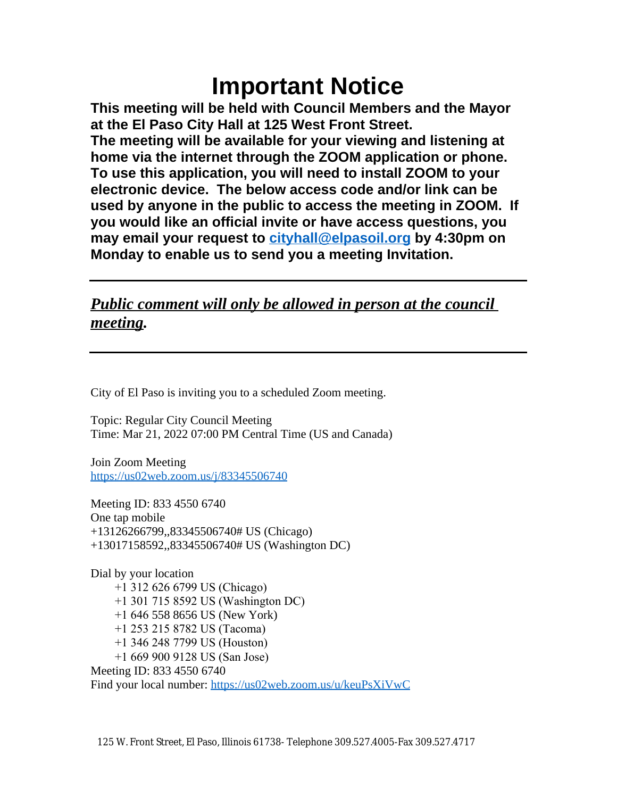# **Important Notice**

**This meeting will be held with Council Members and the Mayor at the El Paso City Hall at 125 West Front Street. The meeting will be available for your viewing and listening at home via the internet through the ZOOM application or phone. To use this application, you will need to install ZOOM to your electronic device. The below access code and/or link can be used by anyone in the public to access the meeting in ZOOM. If you would like an official invite or have access questions, you may email your request to [cityhall@elpasoil.org](mailto:cityhall@elpasoil.org) by 4:30pm on Monday to enable us to send you a meeting Invitation.**

### *Public comment will only be allowed in person at the council meeting.*

City of El Paso is inviting you to a scheduled Zoom meeting.

Topic: Regular City Council Meeting Time: Mar 21, 2022 07:00 PM Central Time (US and Canada)

Join Zoom Meeting <https://us02web.zoom.us/j/83345506740>

[Meeting ID: 833 4550 6740](https://us02web.zoom.us/j/83345506740) [One tap mobile](https://us02web.zoom.us/j/83345506740) [+13126266799,,83345506740# US \(Chicago\)](https://us02web.zoom.us/j/83345506740) [+13017158592,,83345506740# US \(Washington DC\)](https://us02web.zoom.us/j/83345506740)

[Dial by your location](https://us02web.zoom.us/j/83345506740)  [+1 312 626 6799 US \(Chicago\)](https://us02web.zoom.us/j/83345506740)  [+1 301 715 8592 US \(Washington DC\)](https://us02web.zoom.us/j/83345506740)  [+1 646](https://us02web.zoom.us/j/83345506740) [558 8656 US \(New York\)](https://us02web.zoom.us/j/83345506740)  [+1 253 215 8782 US \(Tacoma\)](https://us02web.zoom.us/j/83345506740)  [+1 346 248 7799 US \(Houston\)](https://us02web.zoom.us/j/83345506740)  [+1 669 900 9128 US \(San Jose\)](https://us02web.zoom.us/j/83345506740) [Meeting ID: 833 4550 6740](https://us02web.zoom.us/j/83345506740) [Find your local number:](https://us02web.zoom.us/j/83345506740) <https://us02web.zoom.us/u/keuPsXiVwC>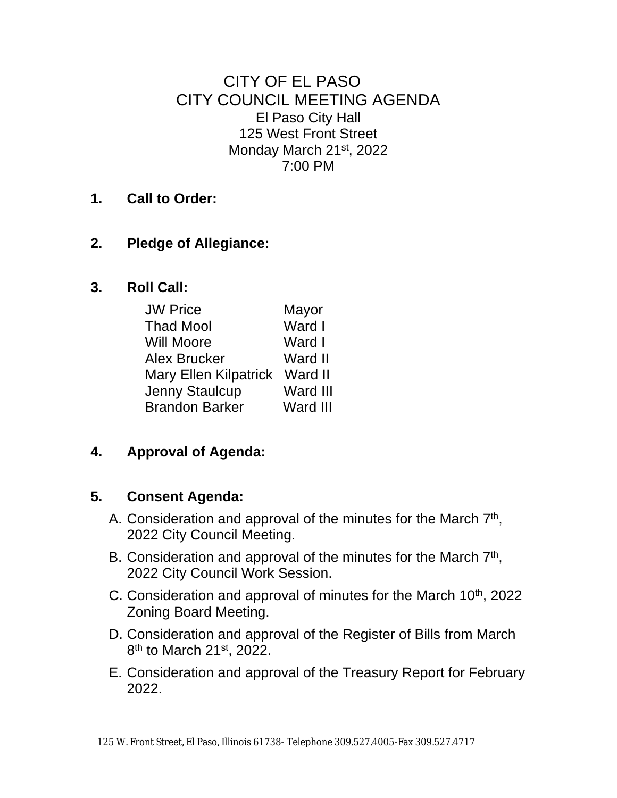CITY OF EL PASO CITY COUNCIL MEETING AGENDA El Paso City Hall 125 West Front Street Monday March 21st, 2022 7:00 PM

**1. Call to Order:**

#### **2. Pledge of Allegiance:**

**3. Roll Call:**

| <b>JW Price</b>               | Mayor           |
|-------------------------------|-----------------|
| <b>Thad Mool</b>              | Ward I          |
| <b>Will Moore</b>             | Ward I          |
| <b>Alex Brucker</b>           | Ward II         |
| Mary Ellen Kilpatrick Ward II |                 |
| Jenny Staulcup                | Ward III        |
| <b>Brandon Barker</b>         | <b>Ward III</b> |

#### **4. Approval of Agenda:**

#### **5. Consent Agenda:**

- A. Consideration and approval of the minutes for the March 7<sup>th</sup>, 2022 City Council Meeting.
- B. Consideration and approval of the minutes for the March 7<sup>th</sup>, 2022 City Council Work Session.
- C. Consideration and approval of minutes for the March  $10<sup>th</sup>$ , 2022 Zoning Board Meeting.
- D. Consideration and approval of the Register of Bills from March 8<sup>th</sup> to March 21<sup>st</sup>, 2022.
- E. Consideration and approval of the Treasury Report for February 2022.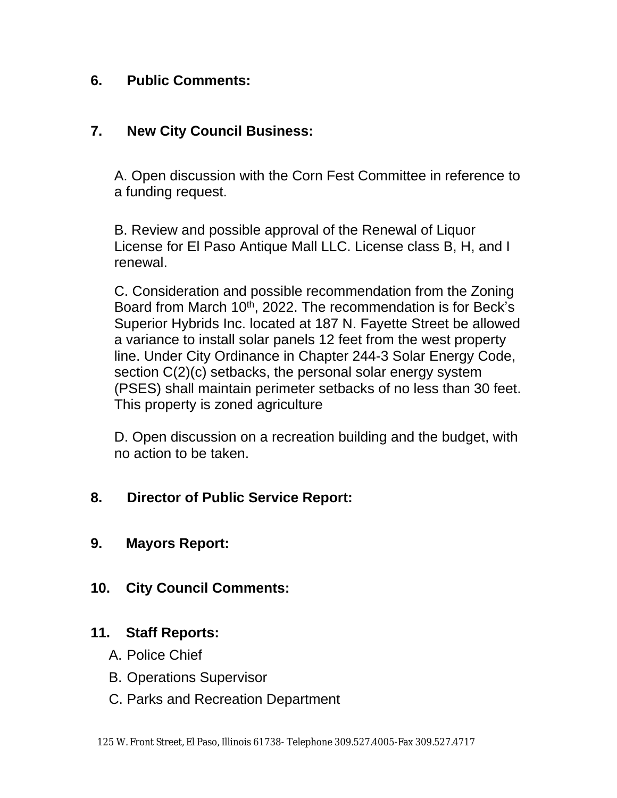#### **6. Public Comments:**

#### **7. New City Council Business:**

A. Open discussion with the Corn Fest Committee in reference to a funding request.

B. Review and possible approval of the Renewal of Liquor License for El Paso Antique Mall LLC. License class B, H, and I renewal.

C. Consideration and possible recommendation from the Zoning Board from March 10<sup>th</sup>, 2022. The recommendation is for Beck's Superior Hybrids Inc. located at 187 N. Fayette Street be allowed a variance to install solar panels 12 feet from the west property line. Under City Ordinance in Chapter 244-3 Solar Energy Code, section C(2)(c) setbacks, the personal solar energy system (PSES) shall maintain perimeter setbacks of no less than 30 feet. This property is zoned agriculture

D. Open discussion on a recreation building and the budget, with no action to be taken.

#### **8. Director of Public Service Report:**

- **9. Mayors Report:**
- **10. City Council Comments:**

#### **11. Staff Reports:**

- A. Police Chief
- B. Operations Supervisor
- C. Parks and Recreation Department